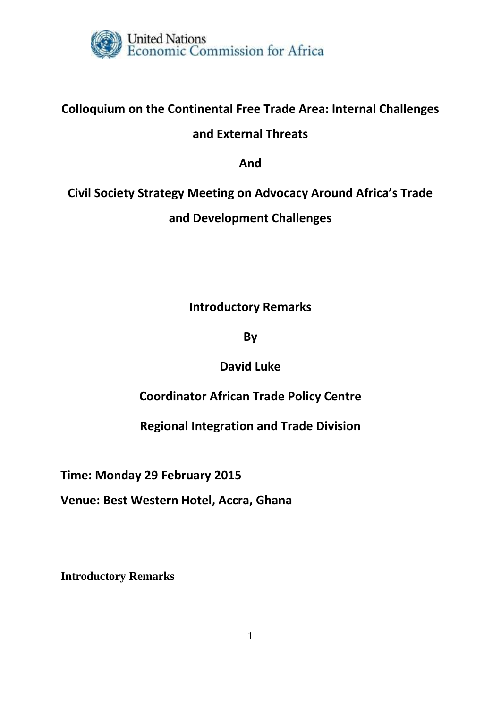

# **Colloquium on the Continental Free Trade Area: Internal Challenges and External Threats**

**And**

# **Civil Society Strategy Meeting on Advocacy Around Africa's Trade and Development Challenges**

**Introductory Remarks**

**By**

**David Luke**

**Coordinator African Trade Policy Centre**

**Regional Integration and Trade Division**

**Time: Monday 29 February 2015**

**Venue: Best Western Hotel, Accra, Ghana**

**Introductory Remarks**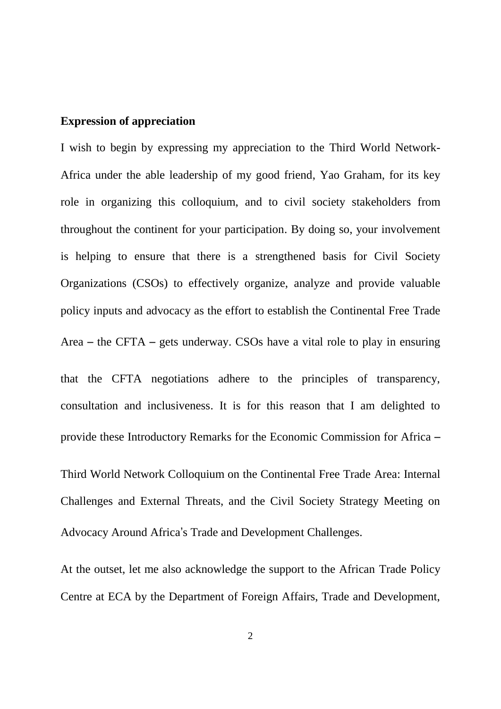#### **Expression of appreciation**

I wish to begin by expressing my appreciation to the Third World Network-Africa under the able leadership of my good friend, Yao Graham, for its key role in organizing this colloquium, and to civil society stakeholders from throughout the continent for your participation. By doing so, your involvement is helping to ensure that there is a strengthened basis for Civil Society Organizations (CSOs) to effectively organize, analyze and provide valuable policy inputs and advocacy as the effort to establish the Continental Free Trade Area – the CFTA – gets underway. CSOs have a vital role to play in ensuring that the CFTA negotiations adhere to the principles of transparency, consultation and inclusiveness. It is for this reason that I am delighted to provide these Introductory Remarks for the Economic Commission for Africa – Third World Network Colloquium on the Continental Free Trade Area: Internal Challenges and External Threats, and the Civil Society Strategy Meeting on Advocacy Around Africa's Trade and Development Challenges.

At the outset, let me also acknowledge the support to the African Trade Policy Centre at ECA by the Department of Foreign Affairs, Trade and Development,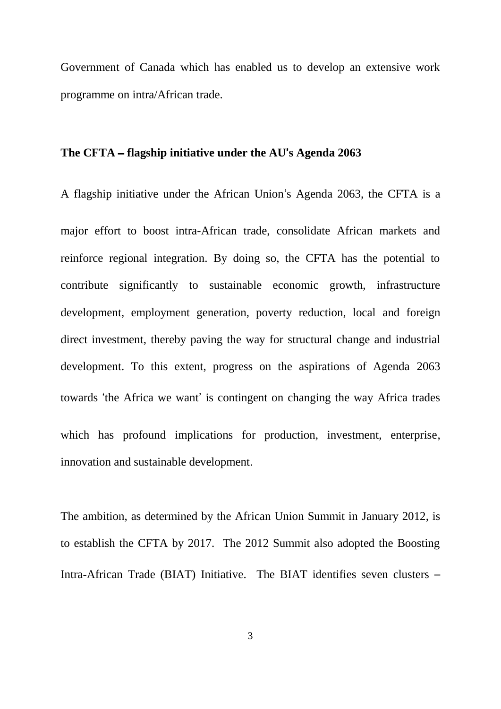Government of Canada which has enabled us to develop an extensive work programme on intra/African trade.

## **The CFTA** – **flagship initiative under the AU**'**s Agenda 2063**

A flagship initiative under the African Union's Agenda 2063, the CFTA is a major effort to boost intra-African trade, consolidate African markets and reinforce regional integration. By doing so, the CFTA has the potential to contribute significantly to sustainable economic growth, infrastructure development, employment generation, poverty reduction, local and foreign direct investment, thereby paving the way for structural change and industrial development. To this extent, progress on the aspirations of Agenda 2063 towards 'the Africa we want' is contingent on changing the way Africa trades which has profound implications for production, investment, enterprise, innovation and sustainable development.

The ambition, as determined by the African Union Summit in January 2012, is to establish the CFTA by 2017. The 2012 Summit also adopted the Boosting Intra-African Trade (BIAT) Initiative. The BIAT identifies seven clusters –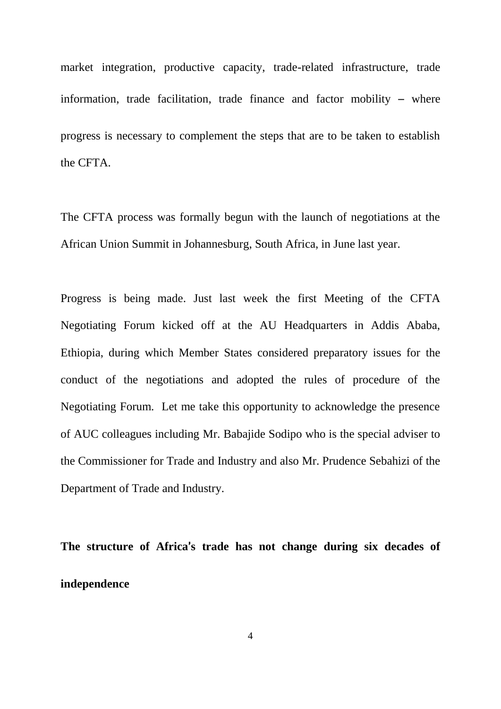market integration, productive capacity, trade-related infrastructure, trade information, trade facilitation, trade finance and factor mobility – where progress is necessary to complement the steps that are to be taken to establish the CFTA.

The CFTA process was formally begun with the launch of negotiations at the African Union Summit in Johannesburg, South Africa, in June last year.

Progress is being made. Just last week the first Meeting of the CFTA Negotiating Forum kicked off at the AU Headquarters in Addis Ababa, Ethiopia, during which Member States considered preparatory issues for the conduct of the negotiations and adopted the rules of procedure of the Negotiating Forum. Let me take this opportunity to acknowledge the presence of AUC colleagues including Mr. Babajide Sodipo who is the special adviser to the Commissioner for Trade and Industry and also Mr. Prudence Sebahizi of the Department of Trade and Industry.

**The structure of Africa**'**s trade has not change during six decades of independence**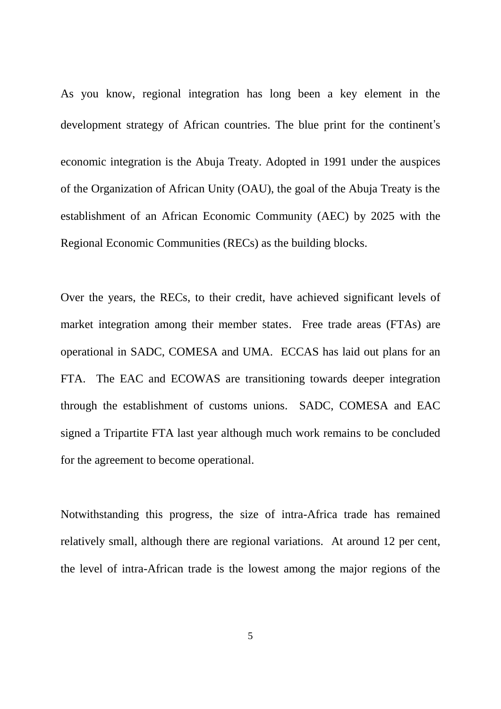As you know, regional integration has long been a key element in the development strategy of African countries. The blue print for the continent's economic integration is the Abuja Treaty. Adopted in 1991 under the auspices of the Organization of African Unity (OAU), the goal of the Abuja Treaty is the establishment of an African Economic Community (AEC) by 2025 with the Regional Economic Communities (RECs) as the building blocks.

Over the years, the RECs, to their credit, have achieved significant levels of market integration among their member states. Free trade areas (FTAs) are operational in SADC, COMESA and UMA. ECCAS has laid out plans for an FTA. The EAC and ECOWAS are transitioning towards deeper integration through the establishment of customs unions. SADC, COMESA and EAC signed a Tripartite FTA last year although much work remains to be concluded for the agreement to become operational.

Notwithstanding this progress, the size of intra-Africa trade has remained relatively small, although there are regional variations. At around 12 per cent, the level of intra-African trade is the lowest among the major regions of the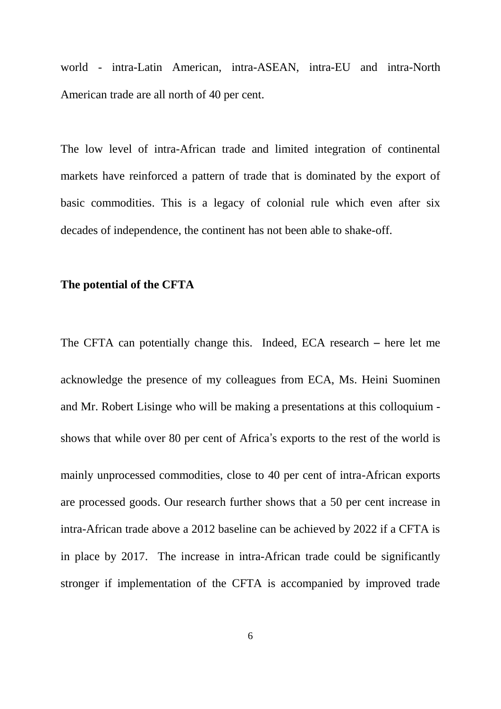world - intra-Latin American, intra-ASEAN, intra-EU and intra-North American trade are all north of 40 per cent.

The low level of intra-African trade and limited integration of continental markets have reinforced a pattern of trade that is dominated by the export of basic commodities. This is a legacy of colonial rule which even after six decades of independence, the continent has not been able to shake-off.

#### **The potential of the CFTA**

The CFTA can potentially change this. Indeed, ECA research – here let me acknowledge the presence of my colleagues from ECA, Ms. Heini Suominen and Mr. Robert Lisinge who will be making a presentations at this colloquium shows that while over 80 per cent of Africa's exports to the rest of the world is mainly unprocessed commodities, close to 40 per cent of intra-African exports are processed goods. Our research further shows that a 50 per cent increase in intra-African trade above a 2012 baseline can be achieved by 2022 if a CFTA is

stronger if implementation of the CFTA is accompanied by improved trade

in place by 2017. The increase in intra-African trade could be significantly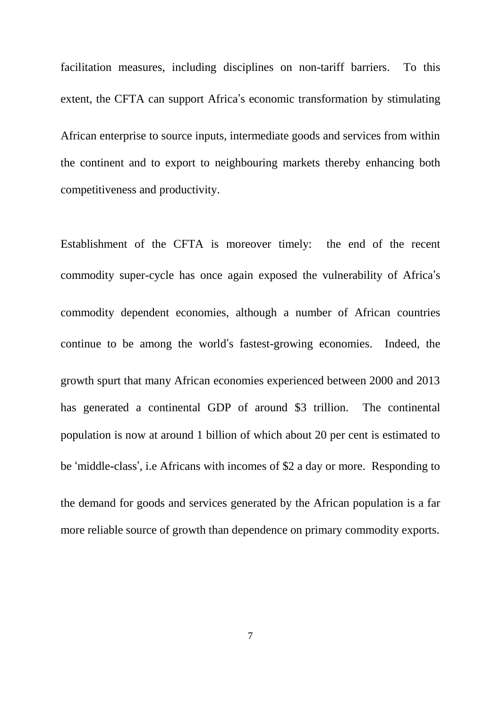facilitation measures, including disciplines on non-tariff barriers. To this extent, the CFTA can support Africa's economic transformation by stimulating

African enterprise to source inputs, intermediate goods and services from within the continent and to export to neighbouring markets thereby enhancing both competitiveness and productivity.

Establishment of the CFTA is moreover timely: the end of the recent commodity super-cycle has once again exposed the vulnerability of Africa's commodity dependent economies, although a number of African countries continue to be among the world's fastest-growing economies. Indeed, the growth spurt that many African economies experienced between 2000 and 2013 has generated a continental GDP of around \$3 trillion. The continental population is now at around 1 billion of which about 20 per cent is estimated to be 'middle-class', i.e Africans with incomes of \$2 a day or more. Responding to the demand for goods and services generated by the African population is a far more reliable source of growth than dependence on primary commodity exports.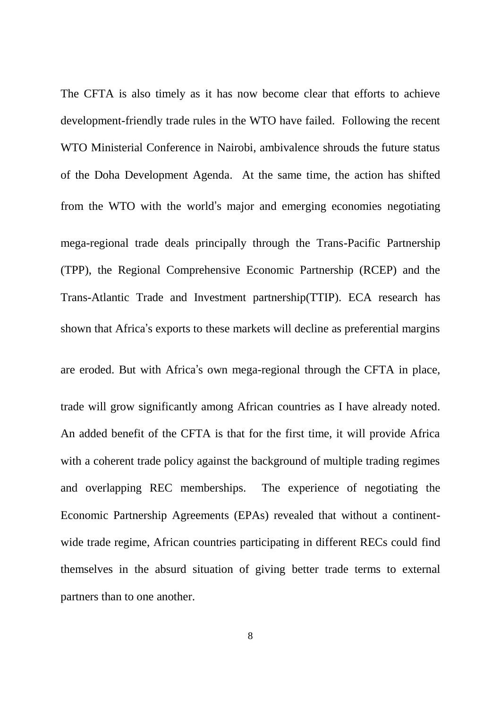The CFTA is also timely as it has now become clear that efforts to achieve development-friendly trade rules in the WTO have failed. Following the recent WTO Ministerial Conference in Nairobi, ambivalence shrouds the future status of the Doha Development Agenda. At the same time, the action has shifted from the WTO with the world's major and emerging economies negotiating mega-regional trade deals principally through the Trans-Pacific Partnership (TPP), the Regional Comprehensive Economic Partnership (RCEP) and the Trans-Atlantic Trade and Investment partnership(TTIP). ECA research has shown that Africa's exports to these markets will decline as preferential margins are eroded. But with Africa's own mega-regional through the CFTA in place, trade will grow significantly among African countries as I have already noted. An added benefit of the CFTA is that for the first time, it will provide Africa with a coherent trade policy against the background of multiple trading regimes and overlapping REC memberships. The experience of negotiating the Economic Partnership Agreements (EPAs) revealed that without a continentwide trade regime, African countries participating in different RECs could find themselves in the absurd situation of giving better trade terms to external partners than to one another.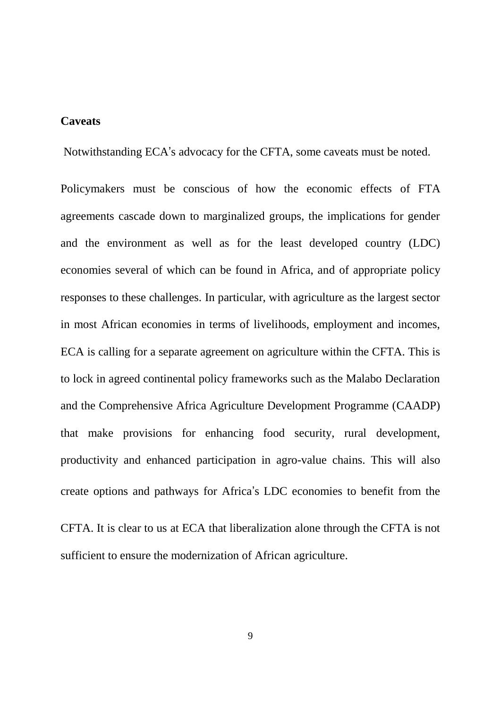#### **Caveats**

Notwithstanding ECA's advocacy for the CFTA, some caveats must be noted.

Policymakers must be conscious of how the economic effects of FTA agreements cascade down to marginalized groups, the implications for gender and the environment as well as for the least developed country (LDC) economies several of which can be found in Africa, and of appropriate policy responses to these challenges. In particular, with agriculture as the largest sector in most African economies in terms of livelihoods, employment and incomes, ECA is calling for a separate agreement on agriculture within the CFTA. This is to lock in agreed continental policy frameworks such as the Malabo Declaration and the Comprehensive Africa Agriculture Development Programme (CAADP) that make provisions for enhancing food security, rural development, productivity and enhanced participation in agro-value chains. This will also create options and pathways for Africa's LDC economies to benefit from the

CFTA. It is clear to us at ECA that liberalization alone through the CFTA is not sufficient to ensure the modernization of African agriculture.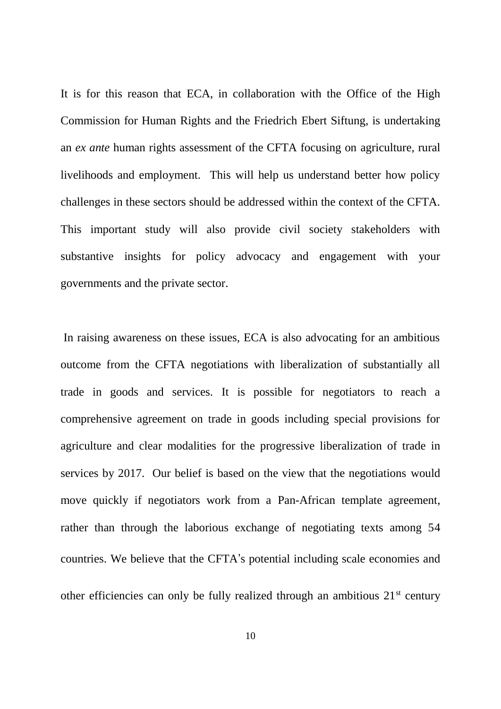It is for this reason that ECA, in collaboration with the Office of the High Commission for Human Rights and the Friedrich Ebert Siftung, is undertaking an *ex ante* human rights assessment of the CFTA focusing on agriculture, rural livelihoods and employment. This will help us understand better how policy challenges in these sectors should be addressed within the context of the CFTA. This important study will also provide civil society stakeholders with substantive insights for policy advocacy and engagement with your governments and the private sector.

In raising awareness on these issues, ECA is also advocating for an ambitious outcome from the CFTA negotiations with liberalization of substantially all trade in goods and services. It is possible for negotiators to reach a comprehensive agreement on trade in goods including special provisions for agriculture and clear modalities for the progressive liberalization of trade in services by 2017. Our belief is based on the view that the negotiations would move quickly if negotiators work from a Pan-African template agreement, rather than through the laborious exchange of negotiating texts among 54 countries. We believe that the CFTA's potential including scale economies and other efficiencies can only be fully realized through an ambitious 21st century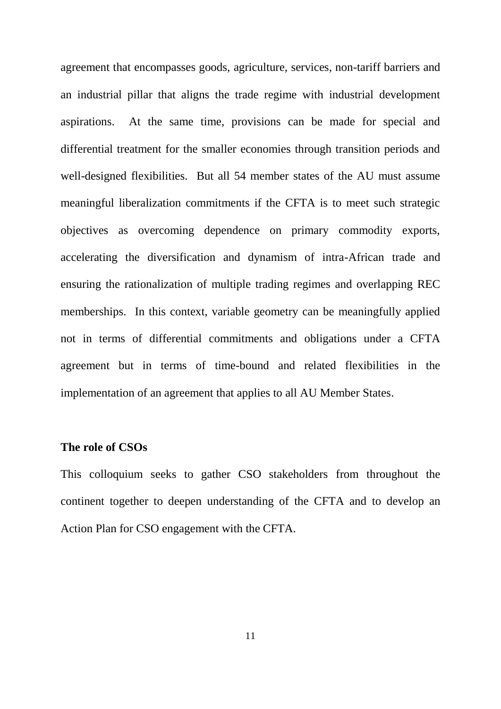agreement that encompasses goods, agriculture, services, non-tariff barriers and an industrial pillar that aligns the trade regime with industrial development aspirations. At the same time, provisions can be made for special and differential treatment for the smaller economies through transition periods and well-designed flexibilities. But all 54 member states of the AU must assume meaningful liberalization commitments if the CFTA is to meet such strategic objectives as overcoming dependence on primary commodity exports, accelerating the diversification and dynamism of intra-African trade and ensuring the rationalization of multiple trading regimes and overlapping REC memberships. In this context, variable geometry can be meaningfully applied not in terms of differential commitments and obligations under a CFTA agreement but in terms of time-bound and related flexibilities in the implementation of an agreement that applies to all AU Member States.

#### **The role of CSOs**

This colloquium seeks to gather CSO stakeholders from throughout the continent together to deepen understanding of the CFTA and to develop an Action Plan for CSO engagement with the CFTA.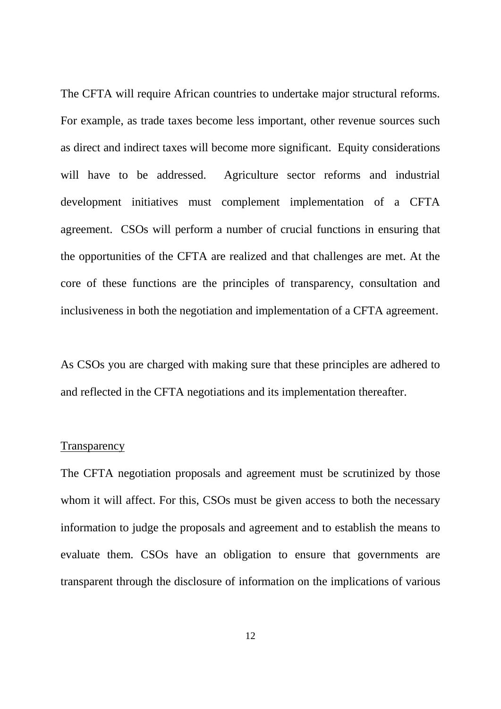The CFTA will require African countries to undertake major structural reforms. For example, as trade taxes become less important, other revenue sources such as direct and indirect taxes will become more significant. Equity considerations will have to be addressed. Agriculture sector reforms and industrial development initiatives must complement implementation of a CFTA agreement. CSOs will perform a number of crucial functions in ensuring that the opportunities of the CFTA are realized and that challenges are met. At the core of these functions are the principles of transparency, consultation and inclusiveness in both the negotiation and implementation of a CFTA agreement.

As CSOs you are charged with making sure that these principles are adhered to and reflected in the CFTA negotiations and its implementation thereafter.

#### **Transparency**

The CFTA negotiation proposals and agreement must be scrutinized by those whom it will affect. For this, CSOs must be given access to both the necessary information to judge the proposals and agreement and to establish the means to evaluate them. CSOs have an obligation to ensure that governments are transparent through the disclosure of information on the implications of various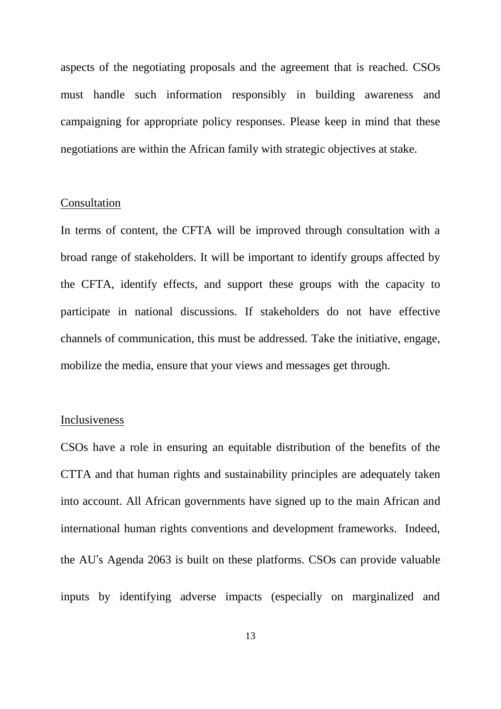aspects of the negotiating proposals and the agreement that is reached. CSOs must handle such information responsibly in building awareness and campaigning for appropriate policy responses. Please keep in mind that these negotiations are within the African family with strategic objectives at stake.

#### Consultation

In terms of content, the CFTA will be improved through consultation with a broad range of stakeholders. It will be important to identify groups affected by the CFTA, identify effects, and support these groups with the capacity to participate in national discussions. If stakeholders do not have effective channels of communication, this must be addressed. Take the initiative, engage, mobilize the media, ensure that your views and messages get through.

#### Inclusiveness

CSOs have a role in ensuring an equitable distribution of the benefits of the CTTA and that human rights and sustainability principles are adequately taken into account. All African governments have signed up to the main African and international human rights conventions and development frameworks. Indeed, the AU's Agenda 2063 is built on these platforms. CSOs can provide valuable inputs by identifying adverse impacts (especially on marginalized and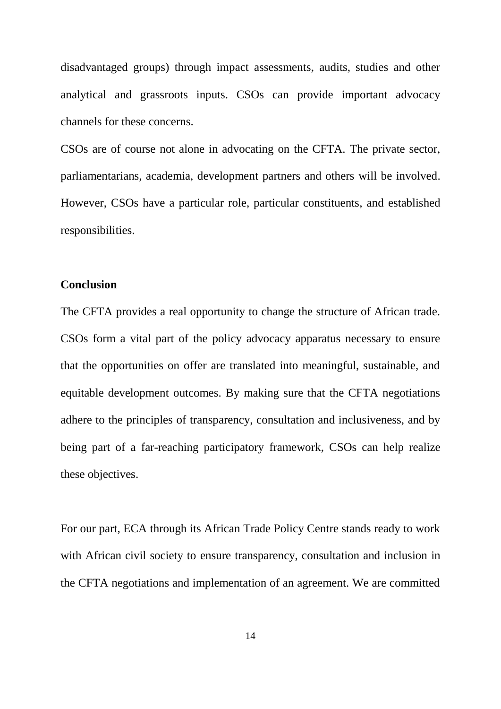disadvantaged groups) through impact assessments, audits, studies and other analytical and grassroots inputs. CSOs can provide important advocacy channels for these concerns.

CSOs are of course not alone in advocating on the CFTA. The private sector, parliamentarians, academia, development partners and others will be involved. However, CSOs have a particular role, particular constituents, and established responsibilities.

## **Conclusion**

The CFTA provides a real opportunity to change the structure of African trade. CSOs form a vital part of the policy advocacy apparatus necessary to ensure that the opportunities on offer are translated into meaningful, sustainable, and equitable development outcomes. By making sure that the CFTA negotiations adhere to the principles of transparency, consultation and inclusiveness, and by being part of a far-reaching participatory framework, CSOs can help realize these objectives.

For our part, ECA through its African Trade Policy Centre stands ready to work with African civil society to ensure transparency, consultation and inclusion in the CFTA negotiations and implementation of an agreement. We are committed